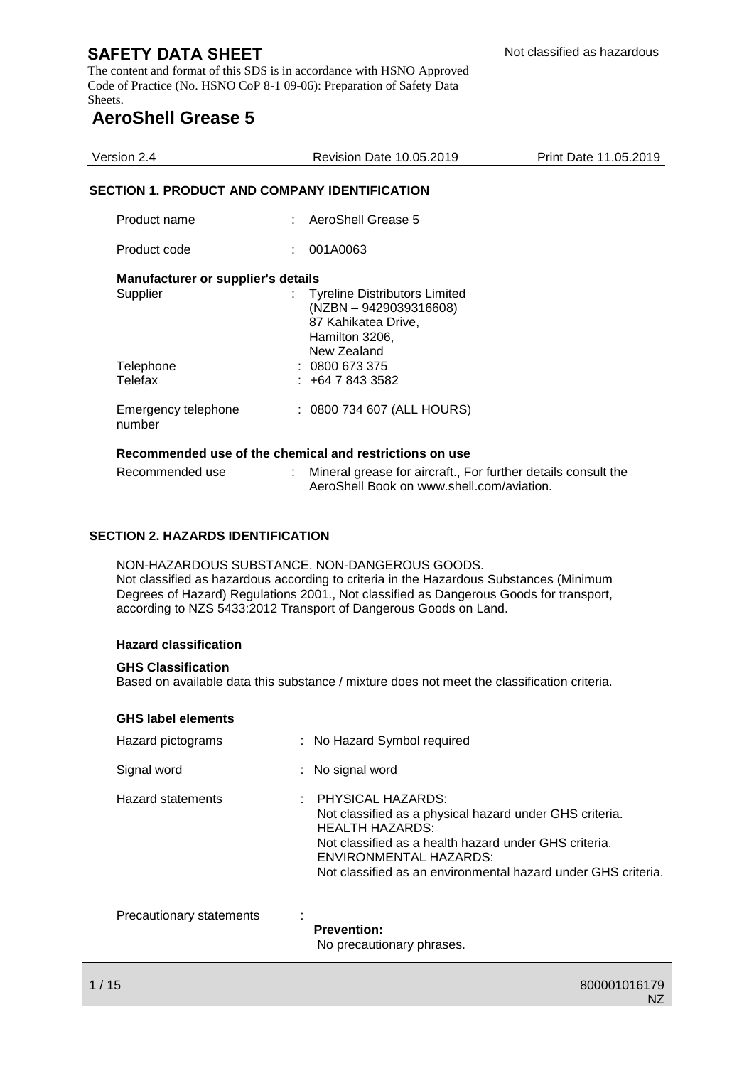The content and format of this SDS is in accordance with HSNO Approved Code of Practice (No. HSNO CoP 8-1 09-06): Preparation of Safety Data Sheets.

# **AeroShell Grease 5**

| Version 2.4                                                                   | <b>Revision Date 10.05.2019</b>                                                                                                                           | Print Date 11.05.2019 |  |  |  |
|-------------------------------------------------------------------------------|-----------------------------------------------------------------------------------------------------------------------------------------------------------|-----------------------|--|--|--|
| <b>SECTION 1. PRODUCT AND COMPANY IDENTIFICATION</b>                          |                                                                                                                                                           |                       |  |  |  |
| Product name                                                                  | AeroShell Grease 5                                                                                                                                        |                       |  |  |  |
| Product code                                                                  | 001A0063                                                                                                                                                  |                       |  |  |  |
| <b>Manufacturer or supplier's details</b><br>Supplier<br>Telephone<br>Telefax | <b>Tyreline Distributors Limited</b><br>(NZBN - 9429039316608)<br>87 Kahikatea Drive,<br>Hamilton 3206,<br>New Zealand<br>: 0800673375<br>$: +6478433582$ |                       |  |  |  |
| Emergency telephone<br>number                                                 | : 0800 734 607 (ALL HOURS)                                                                                                                                |                       |  |  |  |
| Recommended use of the chemical and restrictions on use                       |                                                                                                                                                           |                       |  |  |  |
| Recommended use                                                               | Mineral grease for aircraft., For further details consult the<br>AeroShell Book on www.shell.com/aviation.                                                |                       |  |  |  |

## **SECTION 2. HAZARDS IDENTIFICATION**

NON-HAZARDOUS SUBSTANCE. NON-DANGEROUS GOODS. Not classified as hazardous according to criteria in the Hazardous Substances (Minimum Degrees of Hazard) Regulations 2001., Not classified as Dangerous Goods for transport, according to NZS 5433:2012 Transport of Dangerous Goods on Land.

#### **Hazard classification**

#### **GHS Classification**

Based on available data this substance / mixture does not meet the classification criteria.

#### **GHS label elements**

| Hazard pictograms        | : No Hazard Symbol required                                                                                                                                                                                                                                  |
|--------------------------|--------------------------------------------------------------------------------------------------------------------------------------------------------------------------------------------------------------------------------------------------------------|
| Signal word              | : No signal word                                                                                                                                                                                                                                             |
| <b>Hazard statements</b> | : PHYSICAL HAZARDS:<br>Not classified as a physical hazard under GHS criteria.<br><b>HEALTH HAZARDS:</b><br>Not classified as a health hazard under GHS criteria.<br>ENVIRONMENTAL HAZARDS:<br>Not classified as an environmental hazard under GHS criteria. |
| Precautionary statements | <b>Prevention:</b>                                                                                                                                                                                                                                           |

No precautionary phrases.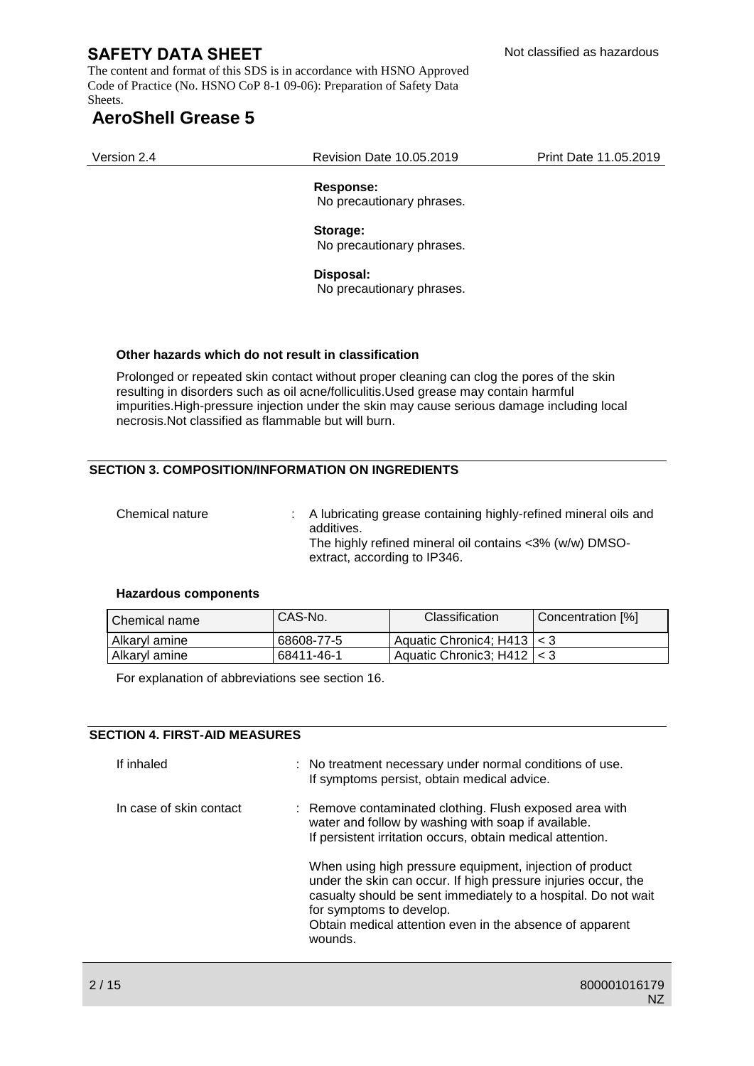The content and format of this SDS is in accordance with HSNO Approved Code of Practice (No. HSNO CoP 8-1 09-06): Preparation of Safety Data Sheets.

# **AeroShell Grease 5**

Version 2.4 Revision Date 10.05.2019 Print Date 11.05.2019

## **Response:**

No precautionary phrases.

## **Storage:**

No precautionary phrases.

#### **Disposal:**

No precautionary phrases.

#### **Other hazards which do not result in classification**

Prolonged or repeated skin contact without proper cleaning can clog the pores of the skin resulting in disorders such as oil acne/folliculitis.Used grease may contain harmful impurities.High-pressure injection under the skin may cause serious damage including local necrosis.Not classified as flammable but will burn.

## **SECTION 3. COMPOSITION/INFORMATION ON INGREDIENTS**

Chemical nature : A lubricating grease containing highly-refined mineral oils and additives. The highly refined mineral oil contains <3% (w/w) DMSOextract, according to IP346.

#### **Hazardous components**

| l Chemical name | CAS-No.    | Classification                    | Concentration [%] |
|-----------------|------------|-----------------------------------|-------------------|
| Alkaryl amine   | 68608-77-5 | Aquatic Chronic4; $H413 \mid < 3$ |                   |
| Alkaryl amine   | 68411-46-1 | Aquatic Chronic3: H412   < 3      |                   |

For explanation of abbreviations see section 16.

#### **SECTION 4. FIRST-AID MEASURES**

| If inhaled              | : No treatment necessary under normal conditions of use.<br>If symptoms persist, obtain medical advice.                                                                                                                                                                                                                                                                                                                                                                         |
|-------------------------|---------------------------------------------------------------------------------------------------------------------------------------------------------------------------------------------------------------------------------------------------------------------------------------------------------------------------------------------------------------------------------------------------------------------------------------------------------------------------------|
| In case of skin contact | : Remove contaminated clothing. Flush exposed area with<br>water and follow by washing with soap if available.<br>If persistent irritation occurs, obtain medical attention.<br>When using high pressure equipment, injection of product<br>under the skin can occur. If high pressure injuries occur, the<br>casualty should be sent immediately to a hospital. Do not wait<br>for symptoms to develop.<br>Obtain medical attention even in the absence of apparent<br>wounds. |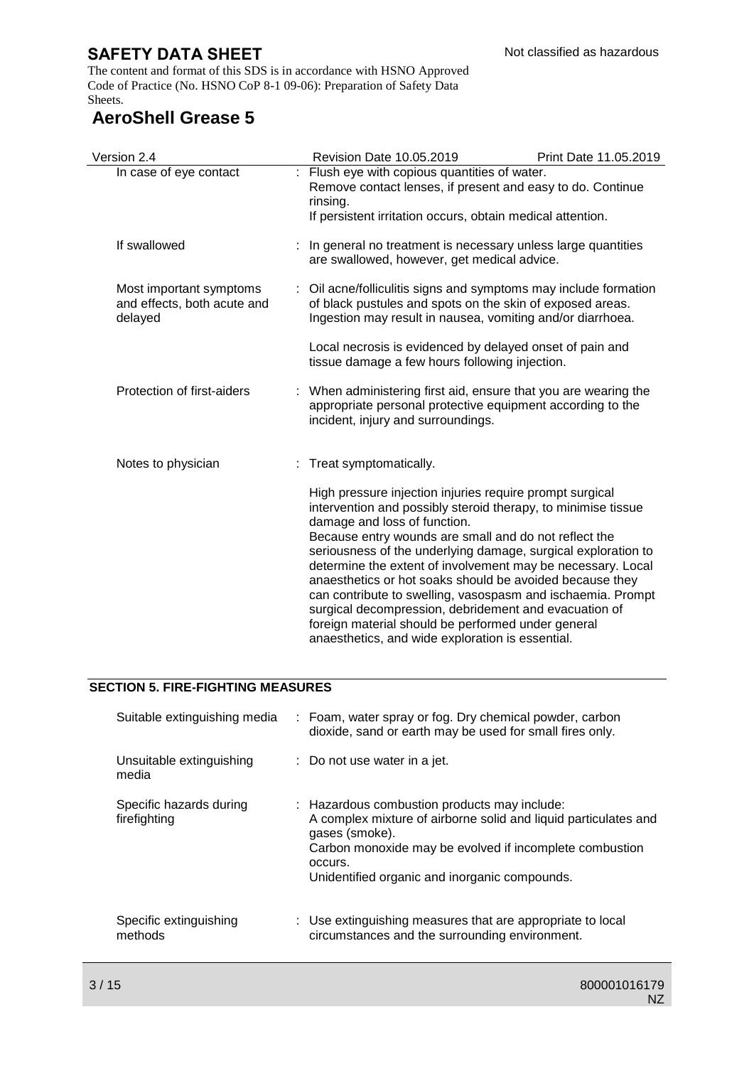The content and format of this SDS is in accordance with HSNO Approved Code of Practice (No. HSNO CoP 8-1 09-06): Preparation of Safety Data Sheets.

# **AeroShell Grease 5**

| Version 2.4                                                       |  | <b>Revision Date 10.05.2019</b>                                                                                                                                                                                                                                                                                                                                                                                                                                                                                                                                                                                                                  | Print Date 11.05.2019 |
|-------------------------------------------------------------------|--|--------------------------------------------------------------------------------------------------------------------------------------------------------------------------------------------------------------------------------------------------------------------------------------------------------------------------------------------------------------------------------------------------------------------------------------------------------------------------------------------------------------------------------------------------------------------------------------------------------------------------------------------------|-----------------------|
| In case of eye contact                                            |  | : Flush eye with copious quantities of water.<br>Remove contact lenses, if present and easy to do. Continue<br>rinsing.<br>If persistent irritation occurs, obtain medical attention.                                                                                                                                                                                                                                                                                                                                                                                                                                                            |                       |
| If swallowed                                                      |  | In general no treatment is necessary unless large quantities<br>are swallowed, however, get medical advice.                                                                                                                                                                                                                                                                                                                                                                                                                                                                                                                                      |                       |
| Most important symptoms<br>and effects, both acute and<br>delayed |  | Oil acne/folliculitis signs and symptoms may include formation<br>of black pustules and spots on the skin of exposed areas.<br>Ingestion may result in nausea, vomiting and/or diarrhoea.<br>Local necrosis is evidenced by delayed onset of pain and<br>tissue damage a few hours following injection.                                                                                                                                                                                                                                                                                                                                          |                       |
|                                                                   |  |                                                                                                                                                                                                                                                                                                                                                                                                                                                                                                                                                                                                                                                  |                       |
| Protection of first-aiders                                        |  | : When administering first aid, ensure that you are wearing the<br>appropriate personal protective equipment according to the<br>incident, injury and surroundings.                                                                                                                                                                                                                                                                                                                                                                                                                                                                              |                       |
| Notes to physician                                                |  | : Treat symptomatically.                                                                                                                                                                                                                                                                                                                                                                                                                                                                                                                                                                                                                         |                       |
|                                                                   |  | High pressure injection injuries require prompt surgical<br>intervention and possibly steroid therapy, to minimise tissue<br>damage and loss of function.<br>Because entry wounds are small and do not reflect the<br>seriousness of the underlying damage, surgical exploration to<br>determine the extent of involvement may be necessary. Local<br>anaesthetics or hot soaks should be avoided because they<br>can contribute to swelling, vasospasm and ischaemia. Prompt<br>surgical decompression, debridement and evacuation of<br>foreign material should be performed under general<br>anaesthetics, and wide exploration is essential. |                       |

## **SECTION 5. FIRE-FIGHTING MEASURES**

| Suitable extinguishing media            | : Foam, water spray or fog. Dry chemical powder, carbon<br>dioxide, sand or earth may be used for small fires only.                                                                                                                                      |
|-----------------------------------------|----------------------------------------------------------------------------------------------------------------------------------------------------------------------------------------------------------------------------------------------------------|
| Unsuitable extinguishing<br>media       | $\therefore$ Do not use water in a jet.                                                                                                                                                                                                                  |
| Specific hazards during<br>firefighting | : Hazardous combustion products may include:<br>A complex mixture of airborne solid and liquid particulates and<br>gases (smoke).<br>Carbon monoxide may be evolved if incomplete combustion<br>occurs.<br>Unidentified organic and inorganic compounds. |
| Specific extinguishing<br>methods       | : Use extinguishing measures that are appropriate to local<br>circumstances and the surrounding environment.                                                                                                                                             |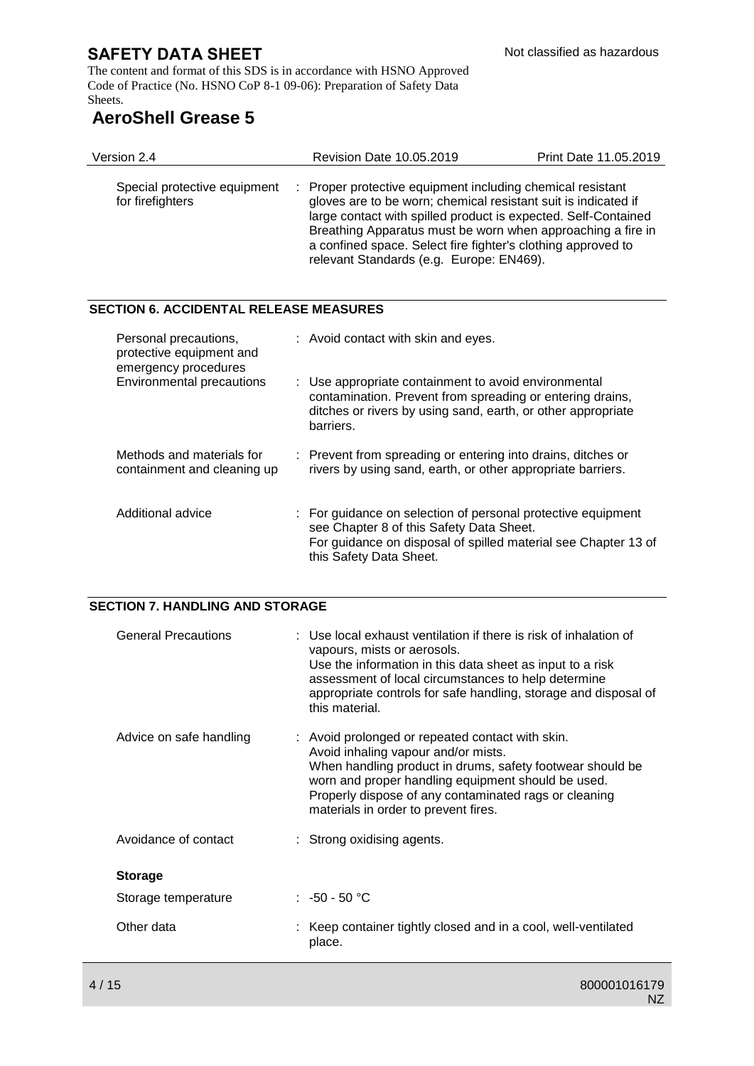The content and format of this SDS is in accordance with HSNO Approved Code of Practice (No. HSNO CoP 8-1 09-06): Preparation of Safety Data Sheets.

# **AeroShell Grease 5**

| Version 2.4                                      | Revision Date 10.05.2019                                                                                                                                                                                                                                                                                                                                                  | Print Date 11.05.2019 |
|--------------------------------------------------|---------------------------------------------------------------------------------------------------------------------------------------------------------------------------------------------------------------------------------------------------------------------------------------------------------------------------------------------------------------------------|-----------------------|
| Special protective equipment<br>for firefighters | : Proper protective equipment including chemical resistant<br>gloves are to be worn; chemical resistant suit is indicated if<br>large contact with spilled product is expected. Self-Contained<br>Breathing Apparatus must be worn when approaching a fire in<br>a confined space. Select fire fighter's clothing approved to<br>relevant Standards (e.g. Europe: EN469). |                       |

## **SECTION 6. ACCIDENTAL RELEASE MEASURES**

| Personal precautions,<br>protective equipment and<br>emergency procedures | : Avoid contact with skin and eyes.                                                                                                                                                                   |
|---------------------------------------------------------------------------|-------------------------------------------------------------------------------------------------------------------------------------------------------------------------------------------------------|
| Environmental precautions                                                 | : Use appropriate containment to avoid environmental<br>contamination. Prevent from spreading or entering drains,<br>ditches or rivers by using sand, earth, or other appropriate<br>barriers.        |
| Methods and materials for<br>containment and cleaning up                  | : Prevent from spreading or entering into drains, ditches or<br>rivers by using sand, earth, or other appropriate barriers.                                                                           |
| Additional advice                                                         | : For guidance on selection of personal protective equipment<br>see Chapter 8 of this Safety Data Sheet.<br>For guidance on disposal of spilled material see Chapter 13 of<br>this Safety Data Sheet. |

## **SECTION 7. HANDLING AND STORAGE**

| <b>General Precautions</b> | : Use local exhaust ventilation if there is risk of inhalation of<br>vapours, mists or aerosols.<br>Use the information in this data sheet as input to a risk<br>assessment of local circumstances to help determine<br>appropriate controls for safe handling, storage and disposal of<br>this material.   |
|----------------------------|-------------------------------------------------------------------------------------------------------------------------------------------------------------------------------------------------------------------------------------------------------------------------------------------------------------|
| Advice on safe handling    | : Avoid prolonged or repeated contact with skin.<br>Avoid inhaling vapour and/or mists.<br>When handling product in drums, safety footwear should be<br>worn and proper handling equipment should be used.<br>Properly dispose of any contaminated rags or cleaning<br>materials in order to prevent fires. |
| Avoidance of contact       | : Strong oxidising agents.                                                                                                                                                                                                                                                                                  |
| <b>Storage</b>             |                                                                                                                                                                                                                                                                                                             |
| Storage temperature        | $: -50 - 50$ °C                                                                                                                                                                                                                                                                                             |
| Other data                 | Keep container tightly closed and in a cool, well-ventilated<br>place.                                                                                                                                                                                                                                      |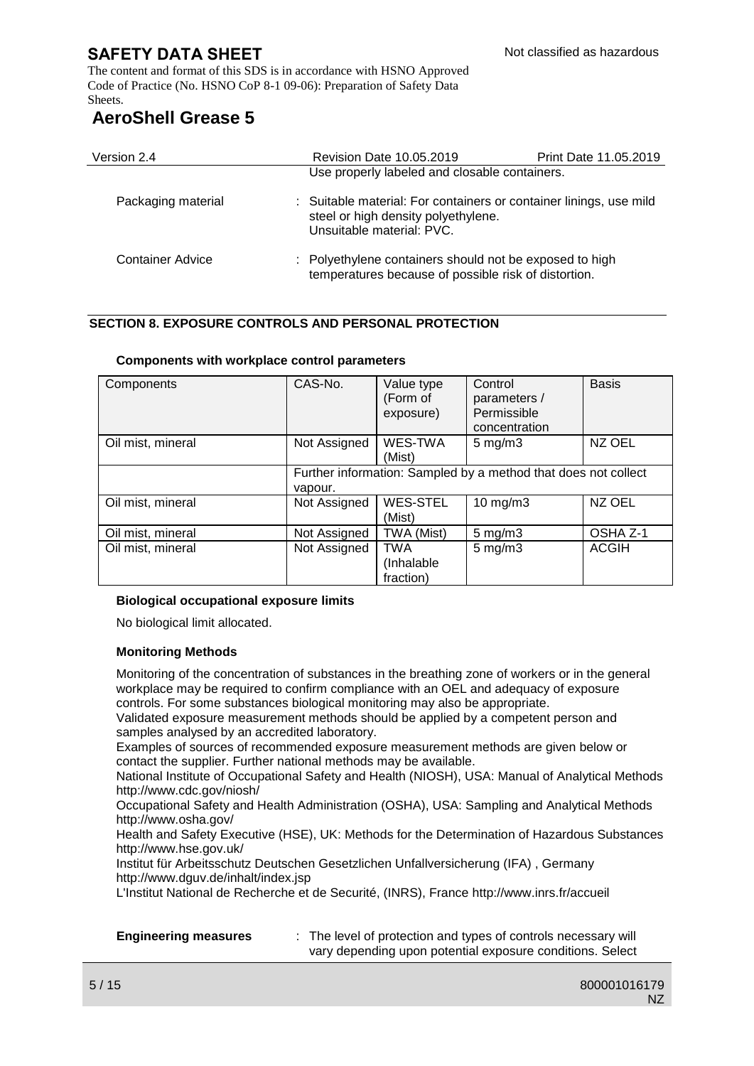The content and format of this SDS is in accordance with HSNO Approved Code of Practice (No. HSNO CoP 8-1 09-06): Preparation of Safety Data Sheets.

# **AeroShell Grease 5**

| Version 2.4        | <b>Revision Date 10.05.2019</b>                                                                                                        | Print Date 11.05.2019 |
|--------------------|----------------------------------------------------------------------------------------------------------------------------------------|-----------------------|
|                    | Use properly labeled and closable containers.                                                                                          |                       |
| Packaging material | : Suitable material: For containers or container linings, use mild<br>steel or high density polyethylene.<br>Unsuitable material: PVC. |                       |
| Container Advice   | : Polyethylene containers should not be exposed to high<br>temperatures because of possible risk of distortion.                        |                       |

## **SECTION 8. EXPOSURE CONTROLS AND PERSONAL PROTECTION**

| Components        | CAS-No.                                                        | Value type      | Control            | <b>Basis</b> |
|-------------------|----------------------------------------------------------------|-----------------|--------------------|--------------|
|                   |                                                                | (Form of        | parameters /       |              |
|                   |                                                                | exposure)       | Permissible        |              |
|                   |                                                                |                 | concentration      |              |
| Oil mist, mineral | Not Assigned                                                   | WES-TWA         | $5 \text{ mg/m}$   | NZ OEL       |
|                   |                                                                | (Mist)          |                    |              |
|                   | Further information: Sampled by a method that does not collect |                 |                    |              |
|                   | vapour.                                                        |                 |                    |              |
| Oil mist, mineral | Not Assigned                                                   | <b>WES-STEL</b> | $10$ mg/m $3$      | NZ OEL       |
|                   |                                                                | (Mist)          |                    |              |
| Oil mist, mineral | Not Assigned                                                   | TWA (Mist)      | $5 \text{ mg/m}$ 3 | OSHA Z-1     |
| Oil mist, mineral | Not Assigned                                                   | TWA             | $5 \text{ mg/m}$ 3 | <b>ACGIH</b> |
|                   |                                                                | (Inhalable      |                    |              |
|                   |                                                                | fraction)       |                    |              |

#### **Components with workplace control parameters**

#### **Biological occupational exposure limits**

No biological limit allocated.

#### **Monitoring Methods**

Monitoring of the concentration of substances in the breathing zone of workers or in the general workplace may be required to confirm compliance with an OEL and adequacy of exposure controls. For some substances biological monitoring may also be appropriate.

Validated exposure measurement methods should be applied by a competent person and samples analysed by an accredited laboratory.

Examples of sources of recommended exposure measurement methods are given below or contact the supplier. Further national methods may be available.

National Institute of Occupational Safety and Health (NIOSH), USA: Manual of Analytical Methods http://www.cdc.gov/niosh/

Occupational Safety and Health Administration (OSHA), USA: Sampling and Analytical Methods http://www.osha.gov/

Health and Safety Executive (HSE), UK: Methods for the Determination of Hazardous Substances http://www.hse.gov.uk/

Institut für Arbeitsschutz Deutschen Gesetzlichen Unfallversicherung (IFA) , Germany http://www.dguv.de/inhalt/index.jsp

L'Institut National de Recherche et de Securité, (INRS), France http://www.inrs.fr/accueil

**Engineering measures** : The level of protection and types of controls necessary will vary depending upon potential exposure conditions. Select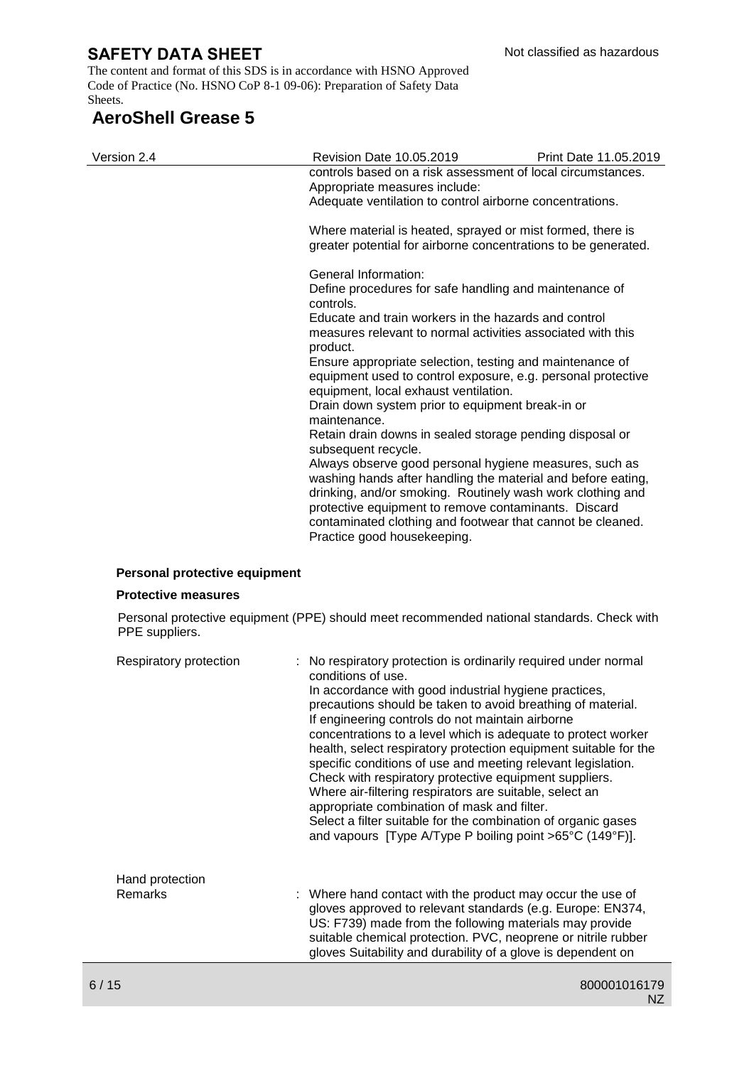The content and format of this SDS is in accordance with HSNO Approved Code of Practice (No. HSNO CoP 8-1 09-06): Preparation of Safety Data Sheets.

## **AeroShell Grease 5**

| Version 2.4 | Revision Date 10.05.2019                                                                                                                                                                                                                                                                                                                  | Print Date 11.05.2019 |  |  |
|-------------|-------------------------------------------------------------------------------------------------------------------------------------------------------------------------------------------------------------------------------------------------------------------------------------------------------------------------------------------|-----------------------|--|--|
|             | controls based on a risk assessment of local circumstances.<br>Appropriate measures include:                                                                                                                                                                                                                                              |                       |  |  |
|             | Adequate ventilation to control airborne concentrations.<br>Where material is heated, sprayed or mist formed, there is<br>greater potential for airborne concentrations to be generated.                                                                                                                                                  |                       |  |  |
|             |                                                                                                                                                                                                                                                                                                                                           |                       |  |  |
|             | General Information:                                                                                                                                                                                                                                                                                                                      |                       |  |  |
|             | Define procedures for safe handling and maintenance of<br>controls.<br>Educate and train workers in the hazards and control<br>measures relevant to normal activities associated with this<br>product.                                                                                                                                    |                       |  |  |
|             |                                                                                                                                                                                                                                                                                                                                           |                       |  |  |
|             | Ensure appropriate selection, testing and maintenance of<br>equipment used to control exposure, e.g. personal protective<br>equipment, local exhaust ventilation.                                                                                                                                                                         |                       |  |  |
|             | Drain down system prior to equipment break-in or<br>maintenance.                                                                                                                                                                                                                                                                          |                       |  |  |
|             | Retain drain downs in sealed storage pending disposal or<br>subsequent recycle.                                                                                                                                                                                                                                                           |                       |  |  |
|             | Always observe good personal hygiene measures, such as<br>washing hands after handling the material and before eating,<br>drinking, and/or smoking. Routinely wash work clothing and<br>protective equipment to remove contaminants. Discard<br>contaminated clothing and footwear that cannot be cleaned.<br>Practice good housekeeping. |                       |  |  |
|             |                                                                                                                                                                                                                                                                                                                                           |                       |  |  |

#### **Personal protective equipment**

#### **Protective measures**

Personal protective equipment (PPE) should meet recommended national standards. Check with PPE suppliers.

| Respiratory protection     | : No respiratory protection is ordinarily required under normal<br>conditions of use.<br>In accordance with good industrial hygiene practices,<br>precautions should be taken to avoid breathing of material.<br>If engineering controls do not maintain airborne<br>concentrations to a level which is adequate to protect worker<br>health, select respiratory protection equipment suitable for the<br>specific conditions of use and meeting relevant legislation.<br>Check with respiratory protective equipment suppliers.<br>Where air-filtering respirators are suitable, select an<br>appropriate combination of mask and filter.<br>Select a filter suitable for the combination of organic gases<br>and vapours [Type A/Type P boiling point >65°C (149°F)]. |
|----------------------------|-------------------------------------------------------------------------------------------------------------------------------------------------------------------------------------------------------------------------------------------------------------------------------------------------------------------------------------------------------------------------------------------------------------------------------------------------------------------------------------------------------------------------------------------------------------------------------------------------------------------------------------------------------------------------------------------------------------------------------------------------------------------------|
| Hand protection<br>Remarks | : Where hand contact with the product may occur the use of<br>gloves approved to relevant standards (e.g. Europe: EN374,<br>US: F739) made from the following materials may provide<br>suitable chemical protection. PVC, neoprene or nitrile rubber<br>gloves Suitability and durability of a glove is dependent on                                                                                                                                                                                                                                                                                                                                                                                                                                                    |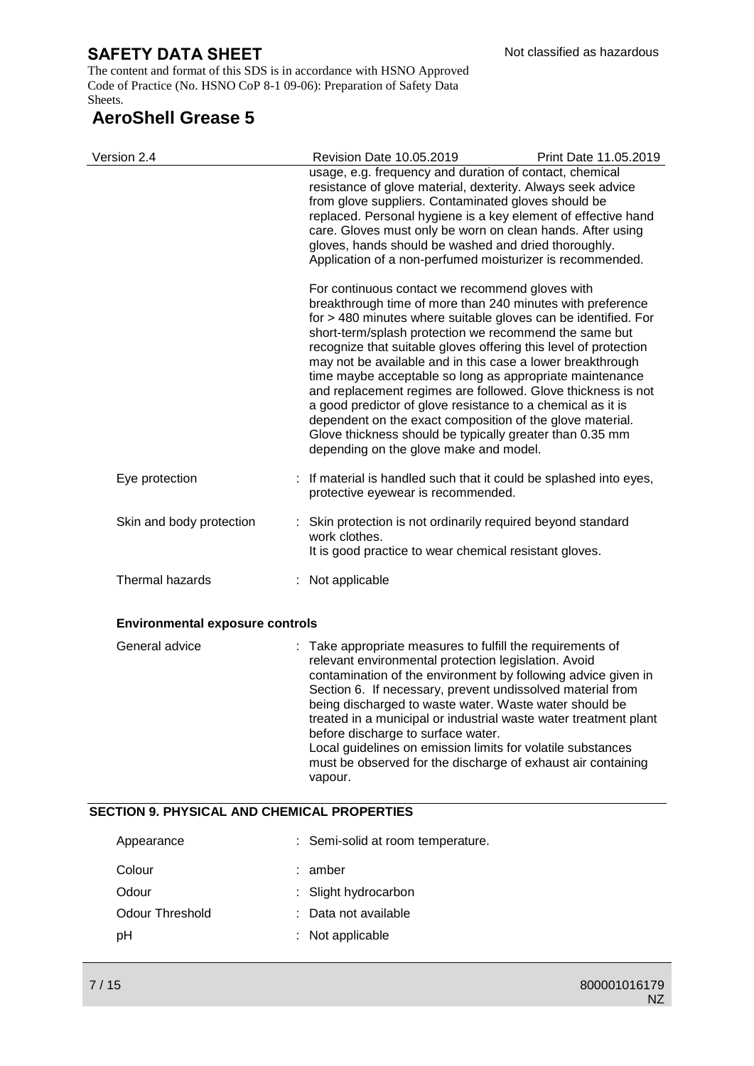The content and format of this SDS is in accordance with HSNO Approved Code of Practice (No. HSNO CoP 8-1 09-06): Preparation of Safety Data Sheets.

# **AeroShell Grease 5**

| Version 2.4                            | Revision Date 10.05.2019                                                                                                                                                                                                                                                                                                                                                                                                                                                                                                                                                                                                                                                                                                                  | Print Date 11.05.2019 |
|----------------------------------------|-------------------------------------------------------------------------------------------------------------------------------------------------------------------------------------------------------------------------------------------------------------------------------------------------------------------------------------------------------------------------------------------------------------------------------------------------------------------------------------------------------------------------------------------------------------------------------------------------------------------------------------------------------------------------------------------------------------------------------------------|-----------------------|
|                                        | usage, e.g. frequency and duration of contact, chemical<br>resistance of glove material, dexterity. Always seek advice<br>from glove suppliers. Contaminated gloves should be<br>replaced. Personal hygiene is a key element of effective hand<br>care. Gloves must only be worn on clean hands. After using<br>gloves, hands should be washed and dried thoroughly.<br>Application of a non-perfumed moisturizer is recommended.                                                                                                                                                                                                                                                                                                         |                       |
|                                        | For continuous contact we recommend gloves with<br>breakthrough time of more than 240 minutes with preference<br>for > 480 minutes where suitable gloves can be identified. For<br>short-term/splash protection we recommend the same but<br>recognize that suitable gloves offering this level of protection<br>may not be available and in this case a lower breakthrough<br>time maybe acceptable so long as appropriate maintenance<br>and replacement regimes are followed. Glove thickness is not<br>a good predictor of glove resistance to a chemical as it is<br>dependent on the exact composition of the glove material.<br>Glove thickness should be typically greater than 0.35 mm<br>depending on the glove make and model. |                       |
| Eye protection                         | : If material is handled such that it could be splashed into eyes,<br>protective eyewear is recommended.                                                                                                                                                                                                                                                                                                                                                                                                                                                                                                                                                                                                                                  |                       |
| Skin and body protection               | Skin protection is not ordinarily required beyond standard<br>work clothes.<br>It is good practice to wear chemical resistant gloves.                                                                                                                                                                                                                                                                                                                                                                                                                                                                                                                                                                                                     |                       |
| Thermal hazards                        | : Not applicable                                                                                                                                                                                                                                                                                                                                                                                                                                                                                                                                                                                                                                                                                                                          |                       |
| <b>Environmental exposure controls</b> |                                                                                                                                                                                                                                                                                                                                                                                                                                                                                                                                                                                                                                                                                                                                           |                       |
| General advice                         | : Take appropriate measures to fulfill the requirements of<br>the contract of the contract of the contract of the contract of the contract of the contract of the contract of                                                                                                                                                                                                                                                                                                                                                                                                                                                                                                                                                             |                       |

| JEI IEI AI AUVILE | . Take appropriate ineasures to full the requirements of         |
|-------------------|------------------------------------------------------------------|
|                   | relevant environmental protection legislation. Avoid             |
|                   | contamination of the environment by following advice given in    |
|                   | Section 6. If necessary, prevent undissolved material from       |
|                   | being discharged to waste water. Waste water should be           |
|                   | treated in a municipal or industrial waste water treatment plant |
|                   | before discharge to surface water.                               |
|                   | Local guidelines on emission limits for volatile substances      |
|                   | must be observed for the discharge of exhaust air containing     |
|                   | vapour.                                                          |
|                   |                                                                  |

## **SECTION 9. PHYSICAL AND CHEMICAL PROPERTIES**

| : Semi-solid at room temperature. |
|-----------------------------------|
|                                   |
| : Slight hydrocarbon              |
| : Data not available              |
| : Not applicable                  |
|                                   |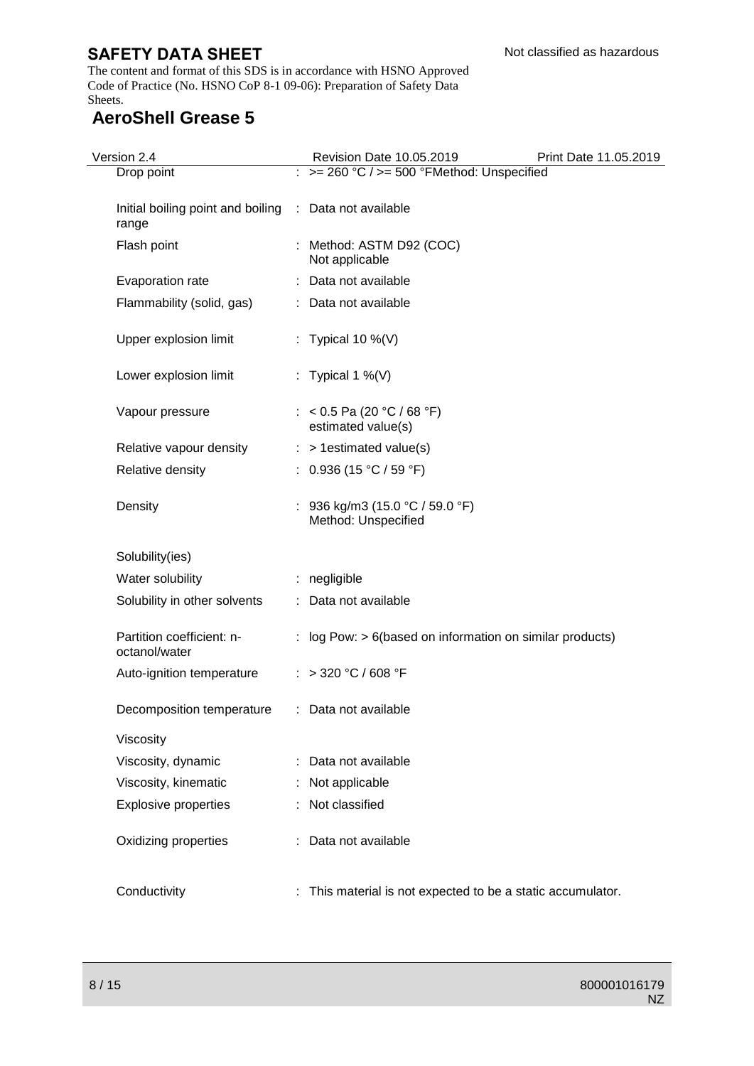The content and format of this SDS is in accordance with HSNO Approved Code of Practice (No. HSNO CoP 8-1 09-06): Preparation of Safety Data Sheets.

# **AeroShell Grease 5**

| Version 2.4                                | Revision Date 10.05.2019                                    | Print Date 11.05.2019 |
|--------------------------------------------|-------------------------------------------------------------|-----------------------|
| Drop point                                 | $>= 260 °C$ / $>= 500 °F$ Method: Unspecified               |                       |
| Initial boiling point and boiling<br>range | : Data not available                                        |                       |
| Flash point                                | Method: ASTM D92 (COC)<br>Not applicable                    |                       |
| Evaporation rate                           | : Data not available                                        |                       |
| Flammability (solid, gas)                  | : Data not available                                        |                       |
| Upper explosion limit                      | : Typical 10 %(V)                                           |                       |
| Lower explosion limit                      | : Typical 1 %(V)                                            |                       |
| Vapour pressure                            | : < 0.5 Pa (20 °C / 68 °F)<br>estimated value(s)            |                       |
| Relative vapour density                    | $:$ > 1 estimated value(s)                                  |                       |
| Relative density                           | : $0.936$ (15 °C / 59 °F)                                   |                       |
| Density                                    | 936 kg/m3 (15.0 °C / 59.0 °F)<br>Method: Unspecified        |                       |
| Solubility(ies)                            |                                                             |                       |
| Water solubility                           | : negligible                                                |                       |
| Solubility in other solvents               | : Data not available                                        |                       |
| Partition coefficient: n-<br>octanol/water | : log Pow: $> 6$ (based on information on similar products) |                       |
| Auto-ignition temperature                  | : > 320 °C / 608 °F                                         |                       |
| Decomposition temperature                  | : Data not available                                        |                       |
| Viscosity                                  |                                                             |                       |
| Viscosity, dynamic                         | Data not available                                          |                       |
| Viscosity, kinematic                       | Not applicable                                              |                       |
| <b>Explosive properties</b>                | Not classified                                              |                       |
| Oxidizing properties                       | Data not available                                          |                       |
| Conductivity                               | This material is not expected to be a static accumulator.   |                       |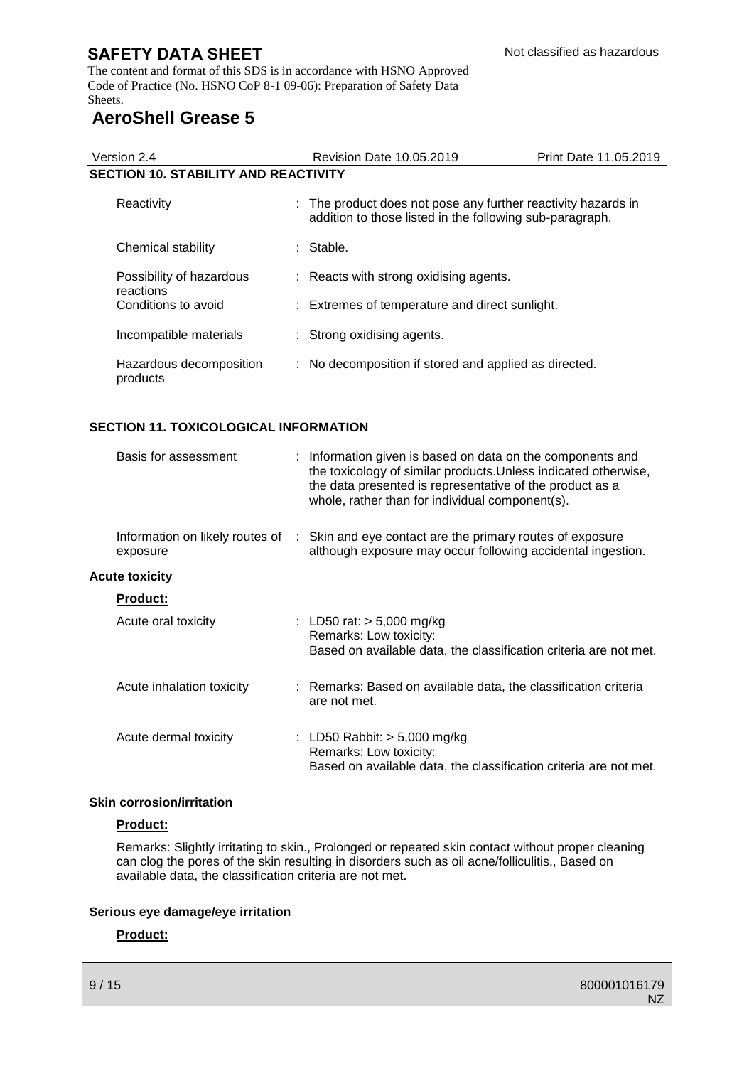The content and format of this SDS is in accordance with HSNO Approved Code of Practice (No. HSNO CoP 8-1 09-06): Preparation of Safety Data Sheets.

# **AeroShell Grease 5**

|                                             | <b>Revision Date 10.05.2019</b>                          | Print Date 11.05.2019                                                                                                                                                                                                                                         |  |  |
|---------------------------------------------|----------------------------------------------------------|---------------------------------------------------------------------------------------------------------------------------------------------------------------------------------------------------------------------------------------------------------------|--|--|
| <b>SECTION 10. STABILITY AND REACTIVITY</b> |                                                          |                                                                                                                                                                                                                                                               |  |  |
|                                             | addition to those listed in the following sub-paragraph. |                                                                                                                                                                                                                                                               |  |  |
|                                             |                                                          |                                                                                                                                                                                                                                                               |  |  |
|                                             |                                                          |                                                                                                                                                                                                                                                               |  |  |
|                                             |                                                          |                                                                                                                                                                                                                                                               |  |  |
|                                             |                                                          |                                                                                                                                                                                                                                                               |  |  |
|                                             |                                                          |                                                                                                                                                                                                                                                               |  |  |
|                                             |                                                          | : The product does not pose any further reactivity hazards in<br>: Stable.<br>: Reacts with strong oxidising agents.<br>: Extremes of temperature and direct sunlight.<br>: Strong oxidising agents.<br>: No decomposition if stored and applied as directed. |  |  |

## **SECTION 11. TOXICOLOGICAL INFORMATION**

| Basis for assessment                        | : Information given is based on data on the components and<br>the toxicology of similar products. Unless indicated otherwise,<br>the data presented is representative of the product as a<br>whole, rather than for individual component(s). |
|---------------------------------------------|----------------------------------------------------------------------------------------------------------------------------------------------------------------------------------------------------------------------------------------------|
| Information on likely routes of<br>exposure | : Skin and eye contact are the primary routes of exposure<br>although exposure may occur following accidental ingestion.                                                                                                                     |
| <b>Acute toxicity</b>                       |                                                                                                                                                                                                                                              |
| <b>Product:</b>                             |                                                                                                                                                                                                                                              |
| Acute oral toxicity                         | : LD50 rat: $> 5,000$ mg/kg<br>Remarks: Low toxicity:<br>Based on available data, the classification criteria are not met.                                                                                                                   |
| Acute inhalation toxicity                   | : Remarks: Based on available data, the classification criteria<br>are not met.                                                                                                                                                              |
| Acute dermal toxicity                       | : LD50 Rabbit: $>$ 5,000 mg/kg<br>Remarks: Low toxicity:<br>Based on available data, the classification criteria are not met.                                                                                                                |

#### **Skin corrosion/irritation**

#### **Product:**

Remarks: Slightly irritating to skin., Prolonged or repeated skin contact without proper cleaning can clog the pores of the skin resulting in disorders such as oil acne/folliculitis., Based on available data, the classification criteria are not met.

#### **Serious eye damage/eye irritation**

## **Product:**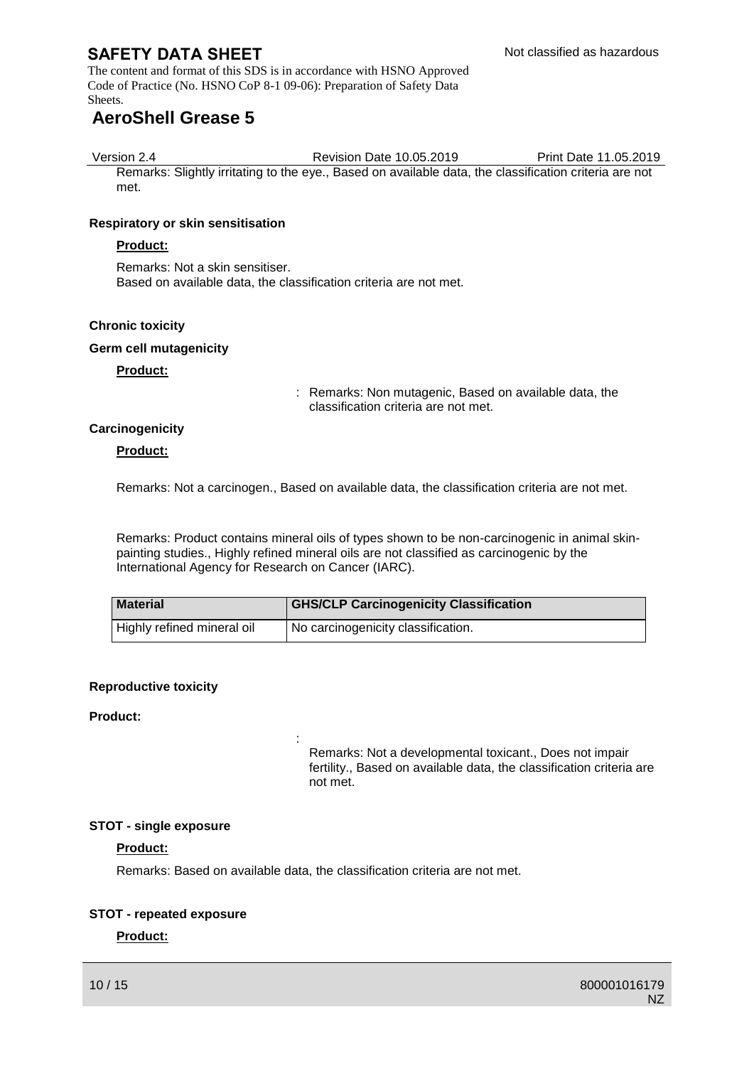The content and format of this SDS is in accordance with HSNO Approved Code of Practice (No. HSNO CoP 8-1 09-06): Preparation of Safety Data Sheets.

# **AeroShell Grease 5**

met.

Version 2.4 Revision Date 10.05.2019 Print Date 11.05.2019 Remarks: Slightly irritating to the eye., Based on available data, the classification criteria are not

#### **Respiratory or skin sensitisation**

#### **Product:**

Remarks: Not a skin sensitiser. Based on available data, the classification criteria are not met.

### **Chronic toxicity**

#### **Germ cell mutagenicity**

**Product:**

: Remarks: Non mutagenic, Based on available data, the classification criteria are not met.

### **Carcinogenicity**

#### **Product:**

Remarks: Not a carcinogen., Based on available data, the classification criteria are not met.

Remarks: Product contains mineral oils of types shown to be non-carcinogenic in animal skinpainting studies., Highly refined mineral oils are not classified as carcinogenic by the International Agency for Research on Cancer (IARC).

| <b>Material</b>            | <b>GHS/CLP Carcinogenicity Classification</b> |
|----------------------------|-----------------------------------------------|
| Highly refined mineral oil | I No carcinogenicity classification.          |

#### **Reproductive toxicity**

#### **Product:**

Remarks: Not a developmental toxicant., Does not impair fertility., Based on available data, the classification criteria are not met.

#### **STOT - single exposure**

#### **Product:**

Remarks: Based on available data, the classification criteria are not met.

:

#### **STOT - repeated exposure**

## **Product:**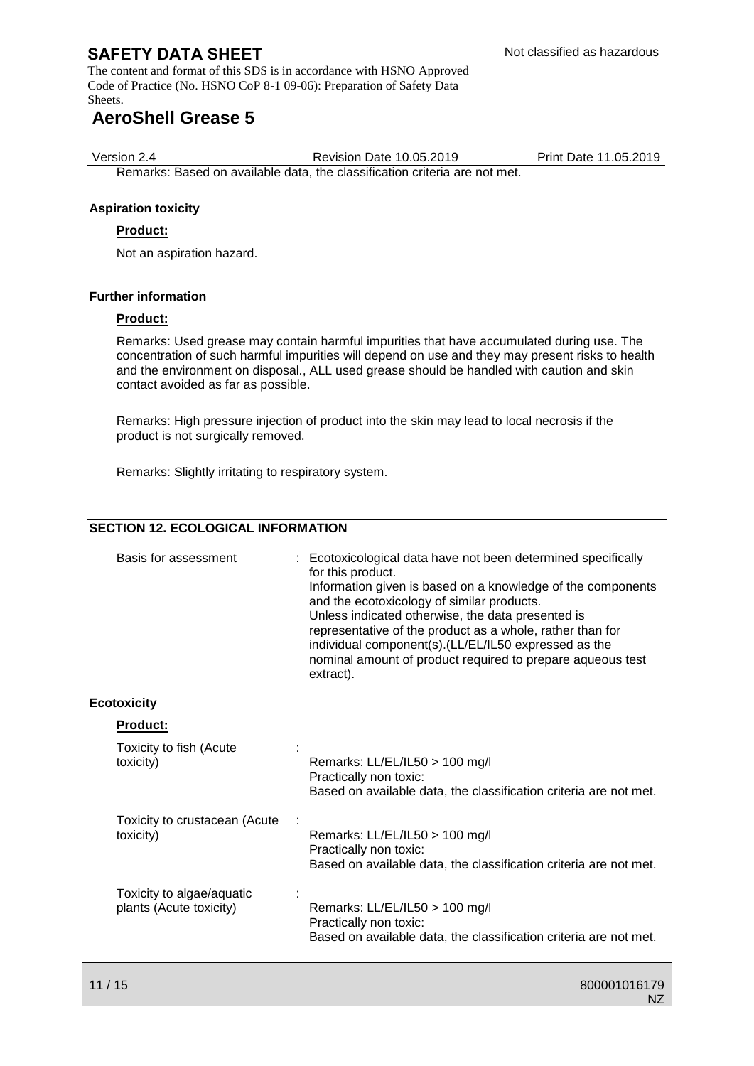The content and format of this SDS is in accordance with HSNO Approved Code of Practice (No. HSNO CoP 8-1 09-06): Preparation of Safety Data Sheets.

# **AeroShell Grease 5**

Version 2.4 Revision Date 10.05.2019 Print Date 11.05.2019

Remarks: Based on available data, the classification criteria are not met.

## **Aspiration toxicity**

### **Product:**

Not an aspiration hazard.

### **Further information**

#### **Product:**

Remarks: Used grease may contain harmful impurities that have accumulated during use. The concentration of such harmful impurities will depend on use and they may present risks to health and the environment on disposal., ALL used grease should be handled with caution and skin contact avoided as far as possible.

Remarks: High pressure injection of product into the skin may lead to local necrosis if the product is not surgically removed.

Remarks: Slightly irritating to respiratory system.

## **SECTION 12. ECOLOGICAL INFORMATION**

| Basis for assessment                                 | : Ecotoxicological data have not been determined specifically<br>for this product.<br>Information given is based on a knowledge of the components<br>and the ecotoxicology of similar products.<br>Unless indicated otherwise, the data presented is<br>representative of the product as a whole, rather than for<br>individual component(s).(LL/EL/IL50 expressed as the<br>nominal amount of product required to prepare aqueous test<br>extract). |
|------------------------------------------------------|------------------------------------------------------------------------------------------------------------------------------------------------------------------------------------------------------------------------------------------------------------------------------------------------------------------------------------------------------------------------------------------------------------------------------------------------------|
| <b>Ecotoxicity</b>                                   |                                                                                                                                                                                                                                                                                                                                                                                                                                                      |
| Product:                                             |                                                                                                                                                                                                                                                                                                                                                                                                                                                      |
| Toxicity to fish (Acute<br>toxicity)                 | Remarks: LL/EL/IL50 > 100 mg/l<br>Practically non toxic:<br>Based on available data, the classification criteria are not met.                                                                                                                                                                                                                                                                                                                        |
| Toxicity to crustacean (Acute<br>toxicity)           | Remarks: LL/EL/IL50 > 100 mg/l<br>Practically non toxic:<br>Based on available data, the classification criteria are not met.                                                                                                                                                                                                                                                                                                                        |
| Toxicity to algae/aquatic<br>plants (Acute toxicity) | Remarks: LL/EL/IL50 > 100 mg/l<br>Practically non toxic:<br>Based on available data, the classification criteria are not met.                                                                                                                                                                                                                                                                                                                        |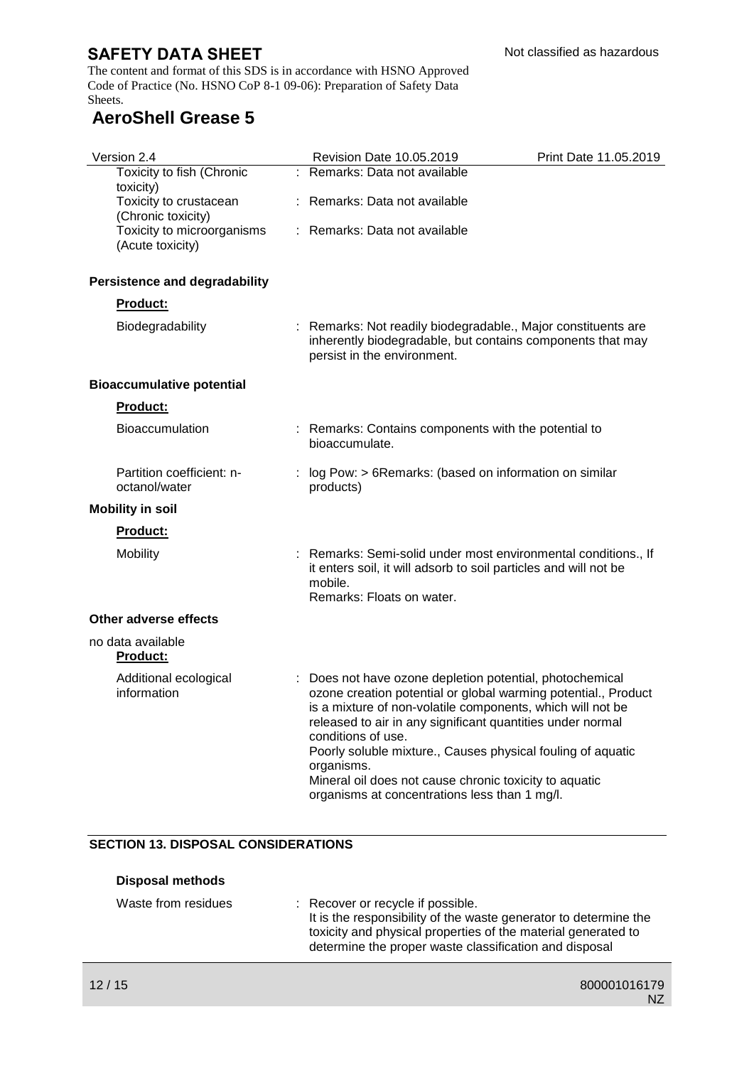The content and format of this SDS is in accordance with HSNO Approved Code of Practice (No. HSNO CoP 8-1 09-06): Preparation of Safety Data Sheets.

# **AeroShell Grease 5**

| Version 2.4                                    | Revision Date 10.05.2019                                                                                                                                                                                                                                                                                                                                                                                                                                           | Print Date 11.05.2019 |
|------------------------------------------------|--------------------------------------------------------------------------------------------------------------------------------------------------------------------------------------------------------------------------------------------------------------------------------------------------------------------------------------------------------------------------------------------------------------------------------------------------------------------|-----------------------|
| Toxicity to fish (Chronic<br>toxicity)         | : Remarks: Data not available                                                                                                                                                                                                                                                                                                                                                                                                                                      |                       |
| Toxicity to crustacean<br>(Chronic toxicity)   | : Remarks: Data not available                                                                                                                                                                                                                                                                                                                                                                                                                                      |                       |
| Toxicity to microorganisms<br>(Acute toxicity) | : Remarks: Data not available                                                                                                                                                                                                                                                                                                                                                                                                                                      |                       |
| <b>Persistence and degradability</b>           |                                                                                                                                                                                                                                                                                                                                                                                                                                                                    |                       |
| <b>Product:</b>                                |                                                                                                                                                                                                                                                                                                                                                                                                                                                                    |                       |
| Biodegradability                               | : Remarks: Not readily biodegradable., Major constituents are<br>inherently biodegradable, but contains components that may<br>persist in the environment.                                                                                                                                                                                                                                                                                                         |                       |
| <b>Bioaccumulative potential</b>               |                                                                                                                                                                                                                                                                                                                                                                                                                                                                    |                       |
| Product:                                       |                                                                                                                                                                                                                                                                                                                                                                                                                                                                    |                       |
| <b>Bioaccumulation</b>                         | : Remarks: Contains components with the potential to<br>bioaccumulate.                                                                                                                                                                                                                                                                                                                                                                                             |                       |
| Partition coefficient: n-<br>octanol/water     | log Pow: > 6Remarks: (based on information on similar<br>products)                                                                                                                                                                                                                                                                                                                                                                                                 |                       |
| <b>Mobility in soil</b>                        |                                                                                                                                                                                                                                                                                                                                                                                                                                                                    |                       |
| <b>Product:</b>                                |                                                                                                                                                                                                                                                                                                                                                                                                                                                                    |                       |
| <b>Mobility</b>                                | : Remarks: Semi-solid under most environmental conditions., If<br>it enters soil, it will adsorb to soil particles and will not be<br>mobile.<br>Remarks: Floats on water.                                                                                                                                                                                                                                                                                         |                       |
| Other adverse effects                          |                                                                                                                                                                                                                                                                                                                                                                                                                                                                    |                       |
| no data available<br>Product:                  |                                                                                                                                                                                                                                                                                                                                                                                                                                                                    |                       |
| Additional ecological<br>information           | Does not have ozone depletion potential, photochemical<br>ozone creation potential or global warming potential., Product<br>is a mixture of non-volatile components, which will not be<br>released to air in any significant quantities under normal<br>conditions of use.<br>Poorly soluble mixture., Causes physical fouling of aquatic<br>organisms.<br>Mineral oil does not cause chronic toxicity to aquatic<br>organisms at concentrations less than 1 mg/l. |                       |

## **SECTION 13. DISPOSAL CONSIDERATIONS**

| <b>Disposal methods</b> |                                                                                                                                                                                                                                  |
|-------------------------|----------------------------------------------------------------------------------------------------------------------------------------------------------------------------------------------------------------------------------|
| Waste from residues     | : Recover or recycle if possible.<br>It is the responsibility of the waste generator to determine the<br>toxicity and physical properties of the material generated to<br>determine the proper waste classification and disposal |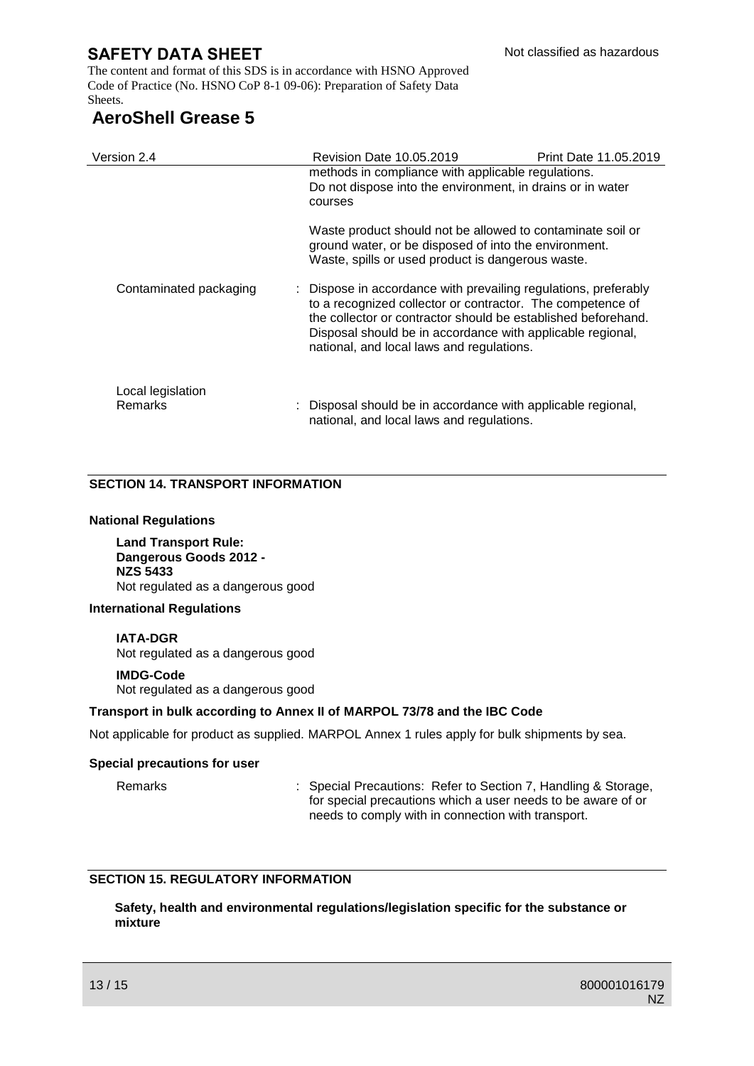The content and format of this SDS is in accordance with HSNO Approved Code of Practice (No. HSNO CoP 8-1 09-06): Preparation of Safety Data Sheets.

# **AeroShell Grease 5**

| Version 2.4                  | <b>Revision Date 10.05.2019</b>                                                                                                                                                                                                                                                                           | Print Date 11.05.2019 |
|------------------------------|-----------------------------------------------------------------------------------------------------------------------------------------------------------------------------------------------------------------------------------------------------------------------------------------------------------|-----------------------|
|                              | methods in compliance with applicable regulations.<br>Do not dispose into the environment, in drains or in water<br>courses                                                                                                                                                                               |                       |
|                              | Waste product should not be allowed to contaminate soil or<br>ground water, or be disposed of into the environment.<br>Waste, spills or used product is dangerous waste.                                                                                                                                  |                       |
| Contaminated packaging       | : Dispose in accordance with prevailing regulations, preferably<br>to a recognized collector or contractor. The competence of<br>the collector or contractor should be established beforehand.<br>Disposal should be in accordance with applicable regional,<br>national, and local laws and regulations. |                       |
| Local legislation<br>Remarks | Disposal should be in accordance with applicable regional,<br>national, and local laws and regulations.                                                                                                                                                                                                   |                       |

## **SECTION 14. TRANSPORT INFORMATION**

#### **National Regulations**

**Land Transport Rule: Dangerous Goods 2012 - NZS 5433** Not regulated as a dangerous good

#### **International Regulations**

#### **IATA-DGR**

Not regulated as a dangerous good

#### **IMDG-Code**

Not regulated as a dangerous good

#### **Transport in bulk according to Annex II of MARPOL 73/78 and the IBC Code**

Not applicable for product as supplied. MARPOL Annex 1 rules apply for bulk shipments by sea.

#### **Special precautions for user**

Remarks : Special Precautions: Refer to Section 7, Handling & Storage, for special precautions which a user needs to be aware of or needs to comply with in connection with transport.

## **SECTION 15. REGULATORY INFORMATION**

**Safety, health and environmental regulations/legislation specific for the substance or mixture**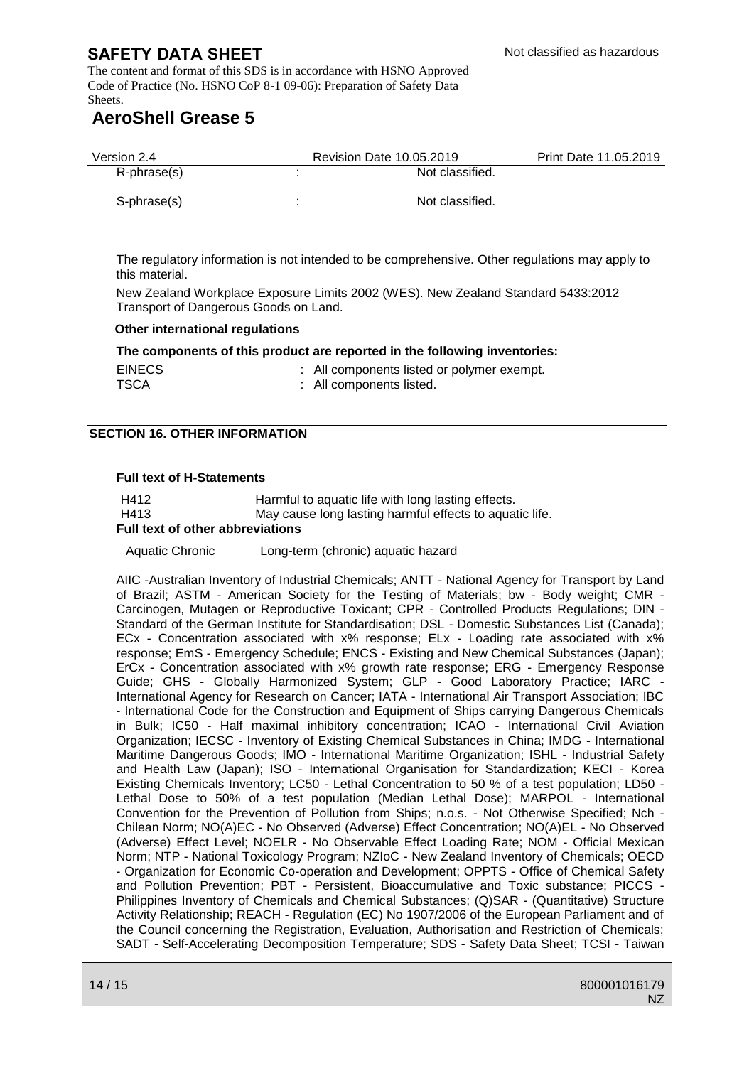The content and format of this SDS is in accordance with HSNO Approved Code of Practice (No. HSNO CoP 8-1 09-06): Preparation of Safety Data Sheets.

# **AeroShell Grease 5**

| Version 2.4 | <b>Revision Date 10.05.2019</b> | Print Date 11.05.2019 |
|-------------|---------------------------------|-----------------------|
| R-phrase(s) | Not classified.                 |                       |
| S-phrase(s) | Not classified.                 |                       |

The regulatory information is not intended to be comprehensive. Other regulations may apply to this material.

New Zealand Workplace Exposure Limits 2002 (WES). New Zealand Standard 5433:2012 Transport of Dangerous Goods on Land.

#### **Other international regulations**

**The components of this product are reported in the following inventories:**

| <b>EINECS</b> |  |                          | : All components listed or polymer exempt. |  |
|---------------|--|--------------------------|--------------------------------------------|--|
| <b>TSCA</b>   |  | : All components listed. |                                            |  |

#### **SECTION 16. OTHER INFORMATION**

#### **Full text of H-Statements**

| H412 | Harmful to aquatic life with long lasting effects.      |
|------|---------------------------------------------------------|
| H413 | May cause long lasting harmful effects to aquatic life. |

#### **Full text of other abbreviations**

Aquatic Chronic Long-term (chronic) aquatic hazard

AIIC -Australian Inventory of Industrial Chemicals; ANTT - National Agency for Transport by Land of Brazil; ASTM - American Society for the Testing of Materials; bw - Body weight; CMR - Carcinogen, Mutagen or Reproductive Toxicant; CPR - Controlled Products Regulations; DIN - Standard of the German Institute for Standardisation; DSL - Domestic Substances List (Canada); ECx - Concentration associated with x% response; ELx - Loading rate associated with x% response; EmS - Emergency Schedule; ENCS - Existing and New Chemical Substances (Japan); ErCx - Concentration associated with x% growth rate response; ERG - Emergency Response Guide; GHS - Globally Harmonized System; GLP - Good Laboratory Practice; IARC - International Agency for Research on Cancer; IATA - International Air Transport Association; IBC - International Code for the Construction and Equipment of Ships carrying Dangerous Chemicals in Bulk; IC50 - Half maximal inhibitory concentration; ICAO - International Civil Aviation Organization; IECSC - Inventory of Existing Chemical Substances in China; IMDG - International Maritime Dangerous Goods; IMO - International Maritime Organization; ISHL - Industrial Safety and Health Law (Japan); ISO - International Organisation for Standardization; KECI - Korea Existing Chemicals Inventory; LC50 - Lethal Concentration to 50 % of a test population; LD50 - Lethal Dose to 50% of a test population (Median Lethal Dose); MARPOL - International Convention for the Prevention of Pollution from Ships; n.o.s. - Not Otherwise Specified; Nch - Chilean Norm; NO(A)EC - No Observed (Adverse) Effect Concentration; NO(A)EL - No Observed (Adverse) Effect Level; NOELR - No Observable Effect Loading Rate; NOM - Official Mexican Norm; NTP - National Toxicology Program; NZIoC - New Zealand Inventory of Chemicals; OECD - Organization for Economic Co-operation and Development; OPPTS - Office of Chemical Safety and Pollution Prevention; PBT - Persistent, Bioaccumulative and Toxic substance; PICCS - Philippines Inventory of Chemicals and Chemical Substances; (Q)SAR - (Quantitative) Structure Activity Relationship; REACH - Regulation (EC) No 1907/2006 of the European Parliament and of the Council concerning the Registration, Evaluation, Authorisation and Restriction of Chemicals; SADT - Self-Accelerating Decomposition Temperature; SDS - Safety Data Sheet; TCSI - Taiwan